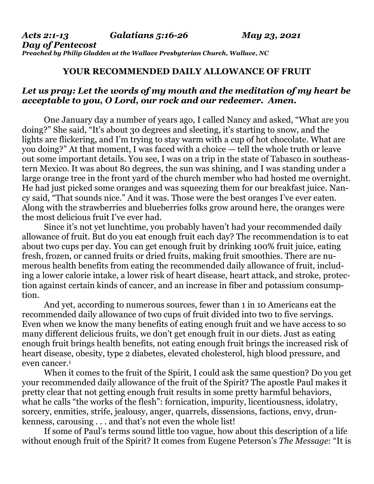## **YOUR RECOMMENDED DAILY ALLOWANCE OF FRUIT**

## *Let us pray: Let the words of my mouth and the meditation of my heart be acceptable to you, O Lord, our rock and our redeemer. Amen.*

One January day a number of years ago, I called Nancy and asked, "What are you doing?" She said, "It's about 30 degrees and sleeting, it's starting to snow, and the lights are flickering, and I'm trying to stay warm with a cup of hot chocolate. What are you doing?" At that moment, I was faced with a choice — tell the whole truth or leave out some important details. You see, I was on a trip in the state of Tabasco in southeastern Mexico. It was about 80 degrees, the sun was shining, and I was standing under a large orange tree in the front yard of the church member who had hosted me overnight. He had just picked some oranges and was squeezing them for our breakfast juice. Nancy said, "That sounds nice." And it was. Those were the best oranges I've ever eaten. Along with the strawberries and blueberries folks grow around here, the oranges were the most delicious fruit I've ever had.

 Since it's not yet lunchtime, you probably haven't had your recommended daily allowance of fruit. But do you eat enough fruit each day? The recommendation is to eat about two cups per day. You can get enough fruit by drinking 100% fruit juice, eating fresh, frozen, or canned fruits or dried fruits, making fruit smoothies. There are numerous health benefits from eating the recommended daily allowance of fruit, including a lower calorie intake, a lower risk of heart disease, heart attack, and stroke, protection against certain kinds of cancer, and an increase in fiber and potassium consumption.

 And yet, according to numerous sources, fewer than 1 in 10 Americans eat the recommended daily allowance of two cups of fruit divided into two to five servings. Even when we know the many benefits of eating enough fruit and we have access to so many different delicious fruits, we don't get enough fruit in our diets. Just as eating enough fruit brings health benefits, not eating enough fruit brings the increased risk of heart disease, obesity, type 2 diabetes, elevated cholesterol, high blood pressure, and even cancer.<sup>1</sup>

 When it comes to the fruit of the Spirit, I could ask the same question? Do you get your recommended daily allowance of the fruit of the Spirit? The apostle Paul makes it pretty clear that not getting enough fruit results in some pretty harmful behaviors, what he calls "the works of the flesh": fornication, impurity, licentiousness, idolatry, sorcery, enmities, strife, jealousy, anger, quarrels, dissensions, factions, envy, drunkenness, carousing . . . and that's not even the whole list!

 If some of Paul's terms sound little too vague, how about this description of a life without enough fruit of the Spirit? It comes from Eugene Peterson's *The Message*: "It is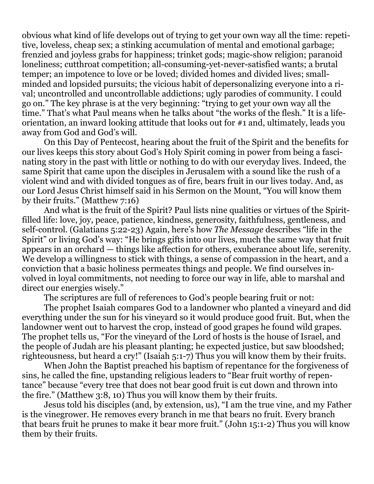obvious what kind of life develops out of trying to get your own way all the time: repetitive, loveless, cheap sex; a stinking accumulation of mental and emotional garbage; frenzied and joyless grabs for happiness; trinket gods; magic-show religion; paranoid loneliness; cutthroat competition; all-consuming-yet-never-satisfied wants; a brutal temper; an impotence to love or be loved; divided homes and divided lives; smallminded and lopsided pursuits; the vicious habit of depersonalizing everyone into a rival; uncontrolled and uncontrollable addictions; ugly parodies of community. I could go on." The key phrase is at the very beginning: "trying to get your own way all the time." That's what Paul means when he talks about "the works of the flesh." It is a lifeorientation, an inward looking attitude that looks out for #1 and, ultimately, leads you away from God and God's will.

 On this Day of Pentecost, hearing about the fruit of the Spirit and the benefits for our lives keeps this story about God's Holy Spirit coming in power from being a fascinating story in the past with little or nothing to do with our everyday lives. Indeed, the same Spirit that came upon the disciples in Jerusalem with a sound like the rush of a violent wind and with divided tongues as of fire, bears fruit in our lives today. And, as our Lord Jesus Christ himself said in his Sermon on the Mount, "You will know them by their fruits." (Matthew 7:16)

 And what is the fruit of the Spirit? Paul lists nine qualities or virtues of the Spiritfilled life: love, joy, peace, patience, kindness, generosity, faithfulness, gentleness, and self-control. (Galatians 5:22-23) Again, here's how *The Message* describes "life in the Spirit" or living God's way: "He brings gifts into our lives, much the same way that fruit appears in an orchard — things like affection for others, exuberance about life, serenity. We develop a willingness to stick with things, a sense of compassion in the heart, and a conviction that a basic holiness permeates things and people. We find ourselves involved in loyal commitments, not needing to force our way in life, able to marshal and direct our energies wisely."

The scriptures are full of references to God's people bearing fruit or not:

 The prophet Isaiah compares God to a landowner who planted a vineyard and did everything under the sun for his vineyard so it would produce good fruit. But, when the landowner went out to harvest the crop, instead of good grapes he found wild grapes. The prophet tells us, "For the vineyard of the Lord of hosts is the house of Israel, and the people of Judah are his pleasant planting; he expected justice, but saw bloodshed; righteousness, but heard a cry!" (Isaiah 5:1-7) Thus you will know them by their fruits.

 When John the Baptist preached his baptism of repentance for the forgiveness of sins, he called the fine, upstanding religious leaders to "Bear fruit worthy of repentance" because "every tree that does not bear good fruit is cut down and thrown into the fire." (Matthew 3:8, 10) Thus you will know them by their fruits.

 Jesus told his disciples (and, by extension, us), "I am the true vine, and my Father is the vinegrower. He removes every branch in me that bears no fruit. Every branch that bears fruit he prunes to make it bear more fruit." (John 15:1-2) Thus you will know them by their fruits.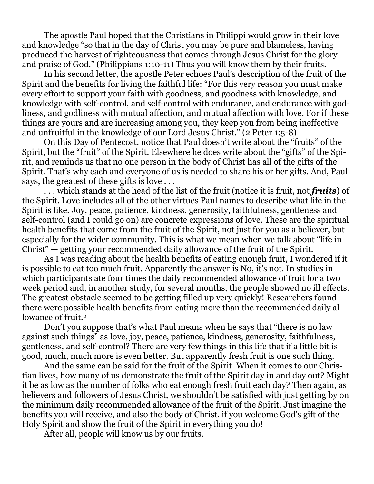The apostle Paul hoped that the Christians in Philippi would grow in their love and knowledge "so that in the day of Christ you may be pure and blameless, having produced the harvest of righteousness that comes through Jesus Christ for the glory and praise of God." (Philippians 1:10-11) Thus you will know them by their fruits.

 In his second letter, the apostle Peter echoes Paul's description of the fruit of the Spirit and the benefits for living the faithful life: "For this very reason you must make every effort to support your faith with goodness, and goodness with knowledge, and knowledge with self-control, and self-control with endurance, and endurance with godliness, and godliness with mutual affection, and mutual affection with love. For if these things are yours and are increasing among you, they keep you from being ineffective and unfruitful in the knowledge of our Lord Jesus Christ." (2 Peter 1:5-8)

 On this Day of Pentecost, notice that Paul doesn't write about the "fruits" of the Spirit, but the "fruit" of the Spirit. Elsewhere he does write about the "gifts" of the Spirit, and reminds us that no one person in the body of Christ has all of the gifts of the Spirit. That's why each and everyone of us is needed to share his or her gifts. And, Paul says, the greatest of these gifts is love . . .

 . . . which stands at the head of the list of the fruit (notice it is fruit, not *fruits*) of the Spirit. Love includes all of the other virtues Paul names to describe what life in the Spirit is like. Joy, peace, patience, kindness, generosity, faithfulness, gentleness and self-control (and I could go on) are concrete expressions of love. These are the spiritual health benefits that come from the fruit of the Spirit, not just for you as a believer, but especially for the wider community. This is what we mean when we talk about "life in Christ" — getting your recommended daily allowance of the fruit of the Spirit.

 As I was reading about the health benefits of eating enough fruit, I wondered if it is possible to eat too much fruit. Apparently the answer is No, it's not. In studies in which participants ate four times the daily recommended allowance of fruit for a two week period and, in another study, for several months, the people showed no ill effects. The greatest obstacle seemed to be getting filled up very quickly! Researchers found there were possible health benefits from eating more than the recommended daily allowance of fruit.<sup>2</sup>

 Don't you suppose that's what Paul means when he says that "there is no law against such things" as love, joy, peace, patience, kindness, generosity, faithfulness, gentleness, and self-control? There are very few things in this life that if a little bit is good, much, much more is even better. But apparently fresh fruit is one such thing.

 And the same can be said for the fruit of the Spirit. When it comes to our Christian lives, how many of us demonstrate the fruit of the Spirit day in and day out? Might it be as low as the number of folks who eat enough fresh fruit each day? Then again, as believers and followers of Jesus Christ, we shouldn't be satisfied with just getting by on the minimum daily recommended allowance of the fruit of the Spirit. Just imagine the benefits you will receive, and also the body of Christ, if you welcome God's gift of the Holy Spirit and show the fruit of the Spirit in everything you do!

After all, people will know us by our fruits.